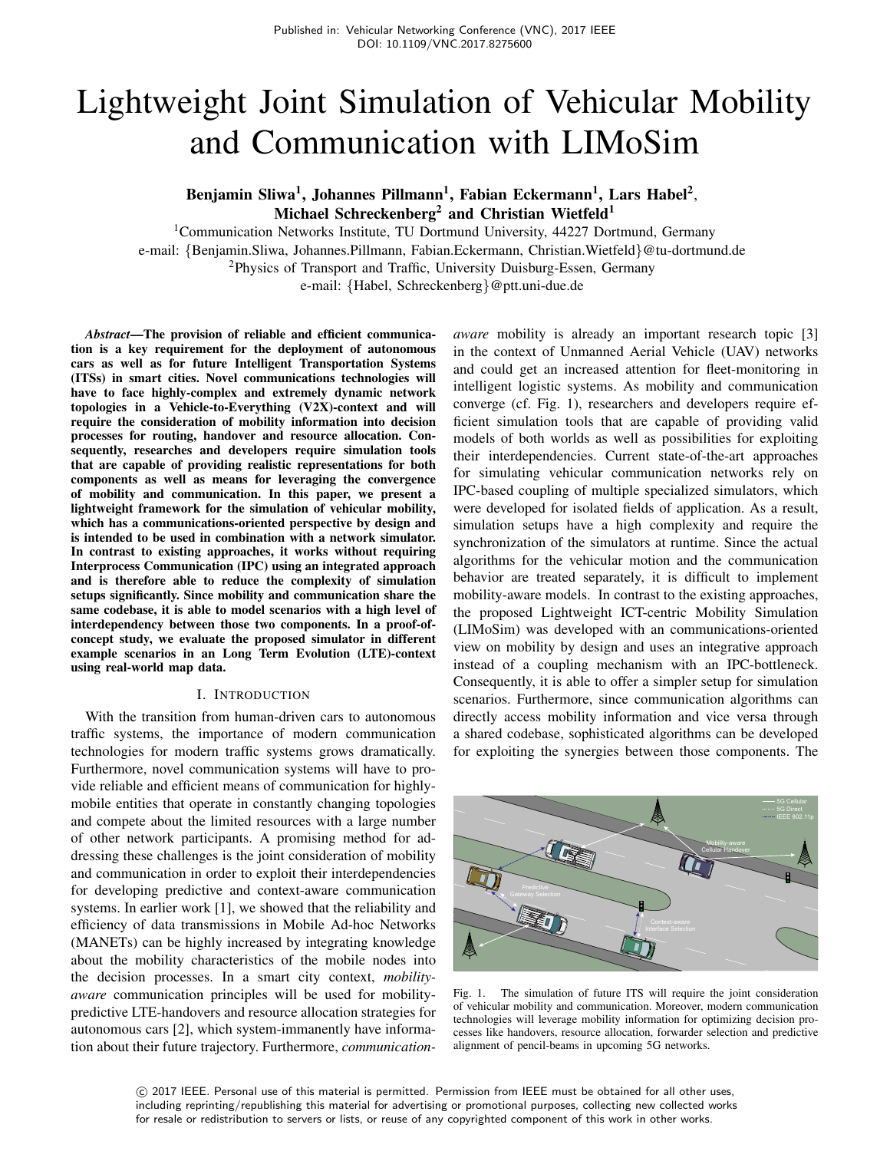# Lightweight Joint Simulation of Vehicular Mobility and Communication with LIMoSim

## Benjamin Sliwa<sup>1</sup>, Johannes Pillmann<sup>1</sup>, Fabian Eckermann<sup>1</sup>, Lars Habel<sup>2</sup>, Michael Schreckenberg<sup>2</sup> and Christian Wietfeld<sup>1</sup>

<sup>1</sup>Communication Networks Institute, TU Dortmund University, 44227 Dortmund, Germany e-mail: {Benjamin.Sliwa, Johannes.Pillmann, Fabian.Eckermann, Christian.Wietfeld}@tu-dortmund.de <sup>2</sup>Physics of Transport and Traffic, University Duisburg-Essen, Germany

e-mail: {Habel, Schreckenberg}@ptt.uni-due.de

*Abstract*—The provision of reliable and efficient communication is a key requirement for the deployment of autonomous cars as well as for future Intelligent Transportation Systems (ITSs) in smart cities. Novel communications technologies will have to face highly-complex and extremely dynamic network topologies in a Vehicle-to-Everything (V2X)-context and will require the consideration of mobility information into decision processes for routing, handover and resource allocation. Consequently, researches and developers require simulation tools that are capable of providing realistic representations for both components as well as means for leveraging the convergence of mobility and communication. In this paper, we present a lightweight framework for the simulation of vehicular mobility, which has a communications-oriented perspective by design and is intended to be used in combination with a network simulator. In contrast to existing approaches, it works without requiring Interprocess Communication (IPC) using an integrated approach and is therefore able to reduce the complexity of simulation setups significantly. Since mobility and communication share the same codebase, it is able to model scenarios with a high level of interdependency between those two components. In a proof-ofconcept study, we evaluate the proposed simulator in different example scenarios in an Long Term Evolution (LTE)-context using real-world map data.

## I. INTRODUCTION

With the transition from human-driven cars to autonomous traffic systems, the importance of modern communication technologies for modern traffic systems grows dramatically. Furthermore, novel communication systems will have to provide reliable and efficient means of communication for highlymobile entities that operate in constantly changing topologies and compete about the limited resources with a large number of other network participants. A promising method for addressing these challenges is the joint consideration of mobility and communication in order to exploit their interdependencies for developing predictive and context-aware communication systems. In earlier work [1], we showed that the reliability and efficiency of data transmissions in Mobile Ad-hoc Networks (MANETs) can be highly increased by integrating knowledge about the mobility characteristics of the mobile nodes into the decision processes. In a smart city context, *mobilityaware* communication principles will be used for mobilitypredictive LTE-handovers and resource allocation strategies for autonomous cars [2], which system-immanently have information about their future trajectory. Furthermore, *communication-* *aware* mobility is already an important research topic [3] in the context of Unmanned Aerial Vehicle (UAV) networks and could get an increased attention for fleet-monitoring in intelligent logistic systems. As mobility and communication converge (cf. Fig. 1), researchers and developers require efficient simulation tools that are capable of providing valid models of both worlds as well as possibilities for exploiting their interdependencies. Current state-of-the-art approaches for simulating vehicular communication networks rely on IPC-based coupling of multiple specialized simulators, which were developed for isolated fields of application. As a result, simulation setups have a high complexity and require the synchronization of the simulators at runtime. Since the actual algorithms for the vehicular motion and the communication behavior are treated separately, it is difficult to implement mobility-aware models. In contrast to the existing approaches, the proposed Lightweight ICT-centric Mobility Simulation (LIMoSim) was developed with an communications-oriented view on mobility by design and uses an integrative approach instead of a coupling mechanism with an IPC-bottleneck. Consequently, it is able to offer a simpler setup for simulation scenarios. Furthermore, since communication algorithms can directly access mobility information and vice versa through a shared codebase, sophisticated algorithms can be developed for exploiting the synergies between those components. The



Fig. 1. The simulation of future ITS will require the joint consideration of vehicular mobility and communication. Moreover, modern communication technologies will leverage mobility information for optimizing decision processes like handovers, resource allocation, forwarder selection and predictive alignment of pencil-beams in upcoming 5G networks.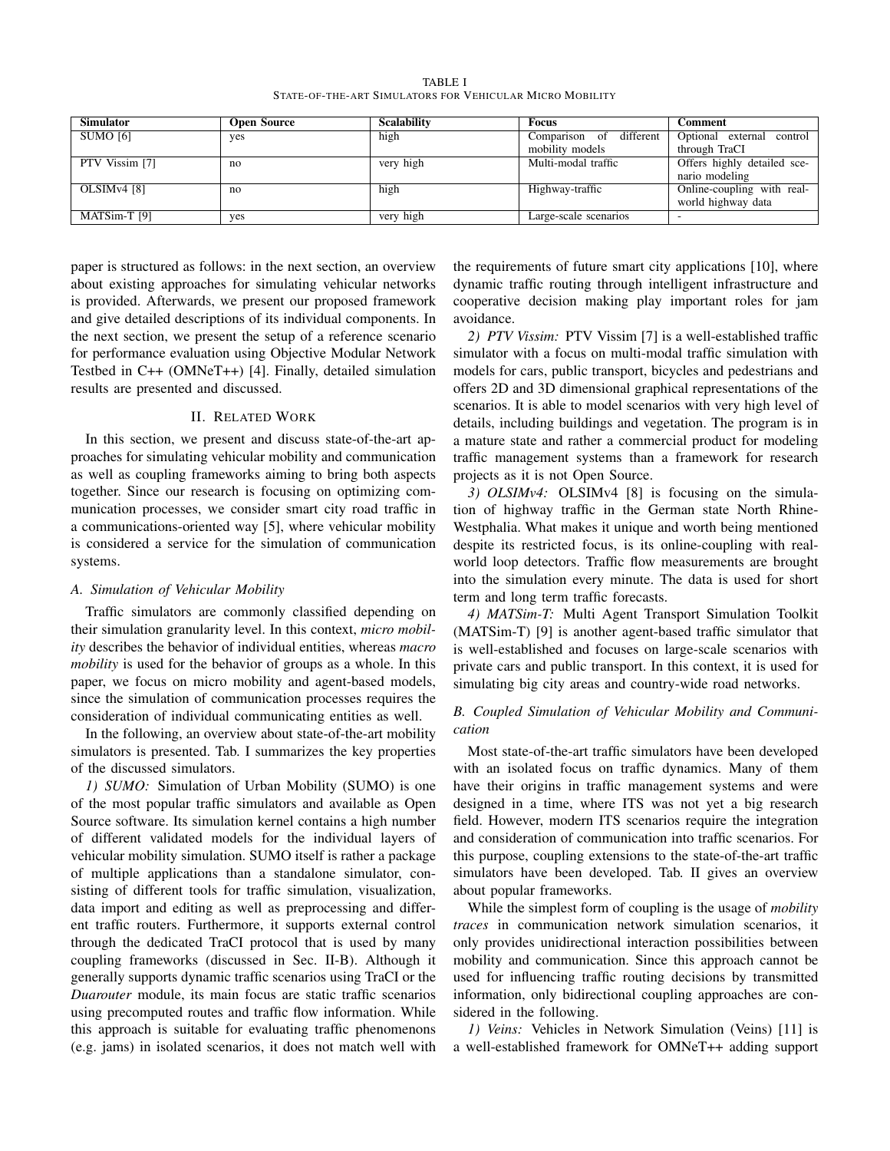TABLE I STATE-OF-THE-ART SIMULATORS FOR VEHICULAR MICRO MOBILITY

| <b>Simulator</b>        | <b>Open Source</b> | <b>Scalability</b> | <b>Focus</b>            | Comment                      |
|-------------------------|--------------------|--------------------|-------------------------|------------------------------|
| SUMO [6]                | yes                | high               | Comparison of different | Optional external<br>control |
|                         |                    |                    | mobility models         | through TraCI                |
| PTV Vissim [7]          | no                 | very high          | Multi-modal traffic     | Offers highly detailed sce-  |
|                         |                    |                    |                         | nario modeling               |
| OLSIM <sub>v4</sub> [8] | no                 | high               | Highway-traffic         | Online-coupling with real-   |
|                         |                    |                    |                         | world highway data           |
| MATSim-T [9]            | ves                | very high          | Large-scale scenarios   |                              |

paper is structured as follows: in the next section, an overview about existing approaches for simulating vehicular networks is provided. Afterwards, we present our proposed framework and give detailed descriptions of its individual components. In the next section, we present the setup of a reference scenario for performance evaluation using Objective Modular Network Testbed in C++ (OMNeT++) [4]. Finally, detailed simulation results are presented and discussed.

#### II. RELATED WORK

In this section, we present and discuss state-of-the-art approaches for simulating vehicular mobility and communication as well as coupling frameworks aiming to bring both aspects together. Since our research is focusing on optimizing communication processes, we consider smart city road traffic in a communications-oriented way [5], where vehicular mobility is considered a service for the simulation of communication systems.

#### *A. Simulation of Vehicular Mobility*

Traffic simulators are commonly classified depending on their simulation granularity level. In this context, *micro mobility* describes the behavior of individual entities, whereas *macro mobility* is used for the behavior of groups as a whole. In this paper, we focus on micro mobility and agent-based models, since the simulation of communication processes requires the consideration of individual communicating entities as well.

In the following, an overview about state-of-the-art mobility simulators is presented. Tab. I summarizes the key properties of the discussed simulators.

*1) SUMO:* Simulation of Urban Mobility (SUMO) is one of the most popular traffic simulators and available as Open Source software. Its simulation kernel contains a high number of different validated models for the individual layers of vehicular mobility simulation. SUMO itself is rather a package of multiple applications than a standalone simulator, consisting of different tools for traffic simulation, visualization, data import and editing as well as preprocessing and different traffic routers. Furthermore, it supports external control through the dedicated TraCI protocol that is used by many coupling frameworks (discussed in Sec. II-B). Although it generally supports dynamic traffic scenarios using TraCI or the *Duarouter* module, its main focus are static traffic scenarios using precomputed routes and traffic flow information. While this approach is suitable for evaluating traffic phenomenons (e.g. jams) in isolated scenarios, it does not match well with the requirements of future smart city applications [10], where dynamic traffic routing through intelligent infrastructure and cooperative decision making play important roles for jam avoidance.

*2) PTV Vissim:* PTV Vissim [7] is a well-established traffic simulator with a focus on multi-modal traffic simulation with models for cars, public transport, bicycles and pedestrians and offers 2D and 3D dimensional graphical representations of the scenarios. It is able to model scenarios with very high level of details, including buildings and vegetation. The program is in a mature state and rather a commercial product for modeling traffic management systems than a framework for research projects as it is not Open Source.

*3) OLSIMv4:* OLSIMv4 [8] is focusing on the simulation of highway traffic in the German state North Rhine-Westphalia. What makes it unique and worth being mentioned despite its restricted focus, is its online-coupling with realworld loop detectors. Traffic flow measurements are brought into the simulation every minute. The data is used for short term and long term traffic forecasts.

*4) MATSim-T:* Multi Agent Transport Simulation Toolkit (MATSim-T) [9] is another agent-based traffic simulator that is well-established and focuses on large-scale scenarios with private cars and public transport. In this context, it is used for simulating big city areas and country-wide road networks.

## *B. Coupled Simulation of Vehicular Mobility and Communication*

Most state-of-the-art traffic simulators have been developed with an isolated focus on traffic dynamics. Many of them have their origins in traffic management systems and were designed in a time, where ITS was not yet a big research field. However, modern ITS scenarios require the integration and consideration of communication into traffic scenarios. For this purpose, coupling extensions to the state-of-the-art traffic simulators have been developed. Tab. II gives an overview about popular frameworks.

While the simplest form of coupling is the usage of *mobility traces* in communication network simulation scenarios, it only provides unidirectional interaction possibilities between mobility and communication. Since this approach cannot be used for influencing traffic routing decisions by transmitted information, only bidirectional coupling approaches are considered in the following.

*1) Veins:* Vehicles in Network Simulation (Veins) [11] is a well-established framework for OMNeT++ adding support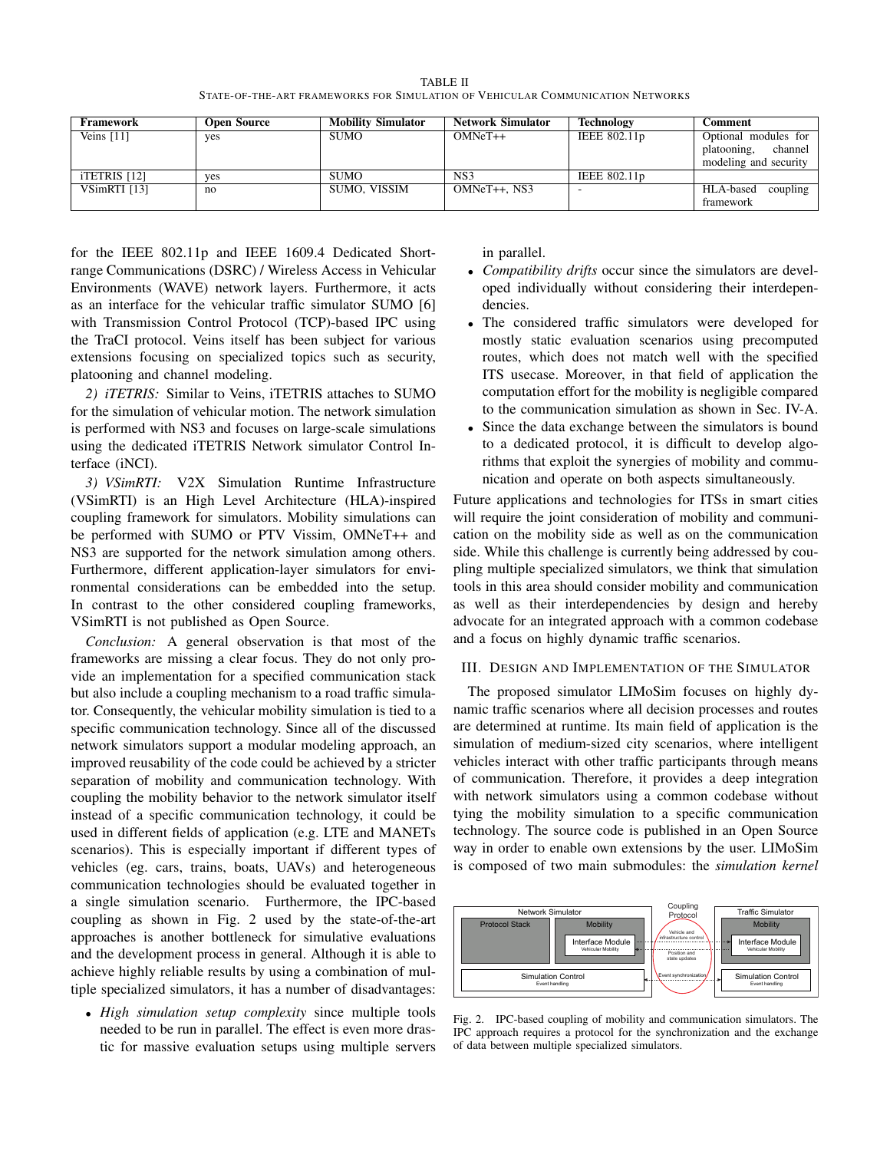TABLE II STATE-OF-THE-ART FRAMEWORKS FOR SIMULATION OF VEHICULAR COMMUNICATION NETWORKS

| Framework    | Open Source | <b>Mobility Simulator</b> | <b>Network Simulator</b> | <b>Technology</b> | Comment                |
|--------------|-------------|---------------------------|--------------------------|-------------------|------------------------|
| Veins [11]   | ves         | <b>SUMO</b>               | $OMNeT++$                | IEEE 802.11p      | Optional modules for   |
|              |             |                           |                          |                   | channel<br>platooning, |
|              |             |                           |                          |                   | modeling and security  |
| iTETRIS [12] | ves         | <b>SUMO</b>               | NS3                      | IEEE 802.11p      |                        |
| VSimRTI [13] | no          | SUMO. VISSIM              | $OMNeT++$ . $NS3$        |                   | HLA-based<br>coupling  |
|              |             |                           |                          |                   | framework              |

for the IEEE 802.11p and IEEE 1609.4 Dedicated Shortrange Communications (DSRC) / Wireless Access in Vehicular Environments (WAVE) network layers. Furthermore, it acts as an interface for the vehicular traffic simulator SUMO [6] with Transmission Control Protocol (TCP)-based IPC using the TraCI protocol. Veins itself has been subject for various extensions focusing on specialized topics such as security, platooning and channel modeling.

*2) iTETRIS:* Similar to Veins, iTETRIS attaches to SUMO for the simulation of vehicular motion. The network simulation is performed with NS3 and focuses on large-scale simulations using the dedicated iTETRIS Network simulator Control Interface (iNCI).

*3) VSimRTI:* V2X Simulation Runtime Infrastructure (VSimRTI) is an High Level Architecture (HLA)-inspired coupling framework for simulators. Mobility simulations can be performed with SUMO or PTV Vissim, OMNeT++ and NS3 are supported for the network simulation among others. Furthermore, different application-layer simulators for environmental considerations can be embedded into the setup. In contrast to the other considered coupling frameworks, VSimRTI is not published as Open Source.

*Conclusion:* A general observation is that most of the frameworks are missing a clear focus. They do not only provide an implementation for a specified communication stack but also include a coupling mechanism to a road traffic simulator. Consequently, the vehicular mobility simulation is tied to a specific communication technology. Since all of the discussed network simulators support a modular modeling approach, an improved reusability of the code could be achieved by a stricter separation of mobility and communication technology. With coupling the mobility behavior to the network simulator itself instead of a specific communication technology, it could be used in different fields of application (e.g. LTE and MANETs scenarios). This is especially important if different types of vehicles (eg. cars, trains, boats, UAVs) and heterogeneous communication technologies should be evaluated together in a single simulation scenario. Furthermore, the IPC-based coupling as shown in Fig. 2 used by the state-of-the-art approaches is another bottleneck for simulative evaluations and the development process in general. Although it is able to achieve highly reliable results by using a combination of multiple specialized simulators, it has a number of disadvantages:

• *High simulation setup complexity* since multiple tools needed to be run in parallel. The effect is even more drastic for massive evaluation setups using multiple servers in parallel.

- *Compatibility drifts* occur since the simulators are developed individually without considering their interdependencies.
- The considered traffic simulators were developed for mostly static evaluation scenarios using precomputed routes, which does not match well with the specified ITS usecase. Moreover, in that field of application the computation effort for the mobility is negligible compared to the communication simulation as shown in Sec. IV-A.
- Since the data exchange between the simulators is bound to a dedicated protocol, it is difficult to develop algorithms that exploit the synergies of mobility and communication and operate on both aspects simultaneously.

Future applications and technologies for ITSs in smart cities will require the joint consideration of mobility and communication on the mobility side as well as on the communication side. While this challenge is currently being addressed by coupling multiple specialized simulators, we think that simulation tools in this area should consider mobility and communication as well as their interdependencies by design and hereby advocate for an integrated approach with a common codebase and a focus on highly dynamic traffic scenarios.

## III. DESIGN AND IMPLEMENTATION OF THE SIMULATOR

The proposed simulator LIMoSim focuses on highly dynamic traffic scenarios where all decision processes and routes are determined at runtime. Its main field of application is the simulation of medium-sized city scenarios, where intelligent vehicles interact with other traffic participants through means of communication. Therefore, it provides a deep integration with network simulators using a common codebase without tying the mobility simulation to a specific communication technology. The source code is published in an Open Source way in order to enable own extensions by the user. LIMoSim is composed of two main submodules: the *simulation kernel*



Fig. 2. IPC-based coupling of mobility and communication simulators. The IPC approach requires a protocol for the synchronization and the exchange of data between multiple specialized simulators.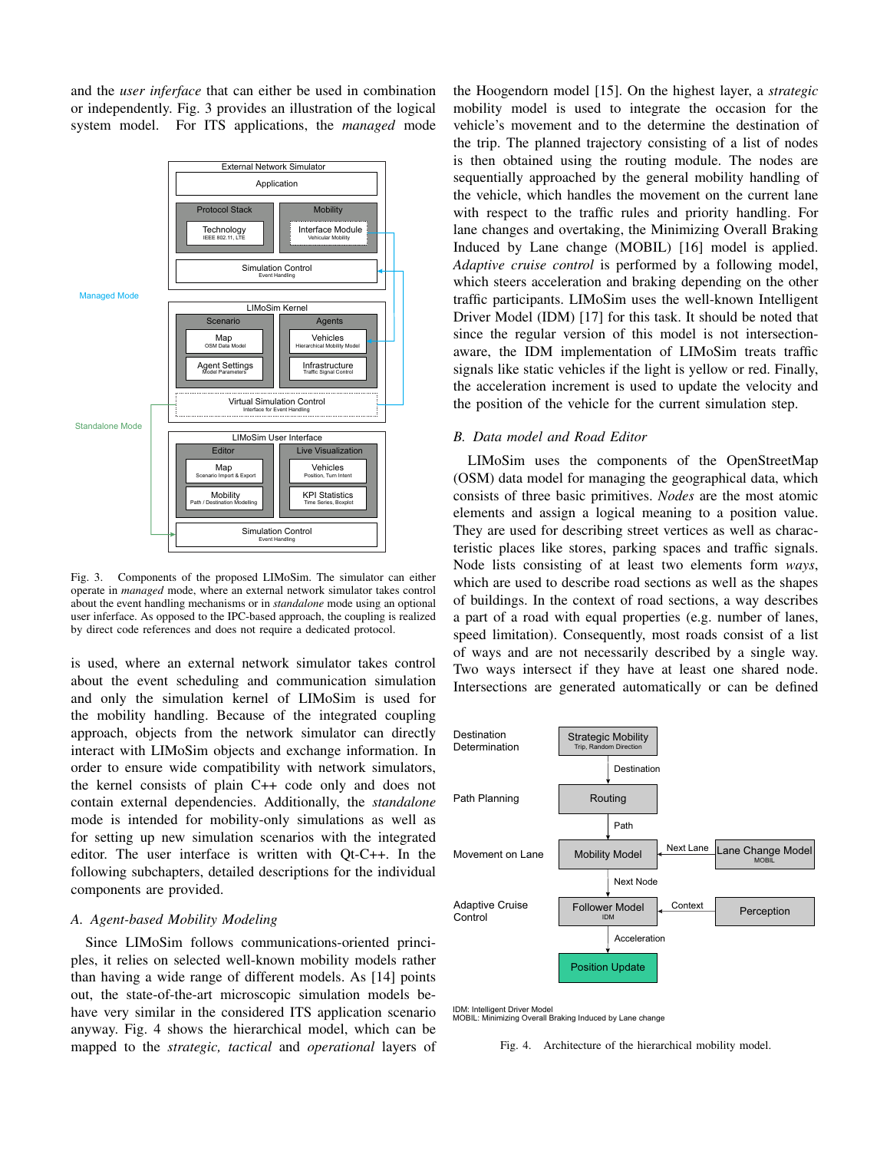and the *user inferface* that can either be used in combination or independently. Fig. 3 provides an illustration of the logical system model. For ITS applications, the *managed* mode



Fig. 3. Components of the proposed LIMoSim. The simulator can either operate in *managed* mode, where an external network simulator takes control about the event handling mechanisms or in *standalone* mode using an optional user inferface. As opposed to the IPC-based approach, the coupling is realized by direct code references and does not require a dedicated protocol.

is used, where an external network simulator takes control about the event scheduling and communication simulation and only the simulation kernel of LIMoSim is used for the mobility handling. Because of the integrated coupling approach, objects from the network simulator can directly interact with LIMoSim objects and exchange information. In order to ensure wide compatibility with network simulators, the kernel consists of plain C++ code only and does not contain external dependencies. Additionally, the *standalone* mode is intended for mobility-only simulations as well as for setting up new simulation scenarios with the integrated editor. The user interface is written with Qt-C++. In the following subchapters, detailed descriptions for the individual components are provided.

#### *A. Agent-based Mobility Modeling*

Since LIMoSim follows communications-oriented principles, it relies on selected well-known mobility models rather than having a wide range of different models. As [14] points out, the state-of-the-art microscopic simulation models behave very similar in the considered ITS application scenario anyway. Fig. 4 shows the hierarchical model, which can be mapped to the *strategic, tactical* and *operational* layers of

the Hoogendorn model [15]. On the highest layer, a *strategic* mobility model is used to integrate the occasion for the vehicle's movement and to the determine the destination of the trip. The planned trajectory consisting of a list of nodes is then obtained using the routing module. The nodes are sequentially approached by the general mobility handling of the vehicle, which handles the movement on the current lane with respect to the traffic rules and priority handling. For lane changes and overtaking, the Minimizing Overall Braking Induced by Lane change (MOBIL) [16] model is applied. *Adaptive cruise control* is performed by a following model, which steers acceleration and braking depending on the other traffic participants. LIMoSim uses the well-known Intelligent Driver Model (IDM) [17] for this task. It should be noted that since the regular version of this model is not intersectionaware, the IDM implementation of LIMoSim treats traffic signals like static vehicles if the light is yellow or red. Finally, the acceleration increment is used to update the velocity and the position of the vehicle for the current simulation step.

#### *B. Data model and Road Editor*

LIMoSim uses the components of the OpenStreetMap (OSM) data model for managing the geographical data, which consists of three basic primitives. *Nodes* are the most atomic elements and assign a logical meaning to a position value. They are used for describing street vertices as well as characteristic places like stores, parking spaces and traffic signals. Node lists consisting of at least two elements form *ways*, which are used to describe road sections as well as the shapes of buildings. In the context of road sections, a way describes a part of a road with equal properties (e.g. number of lanes, speed limitation). Consequently, most roads consist of a list of ways and are not necessarily described by a single way. Two ways intersect if they have at least one shared node. Intersections are generated automatically or can be defined



IDM: Intelligent Driver Model MOBIL: Minimizing Overall Braking Induced by Lane change

Fig. 4. Architecture of the hierarchical mobility model.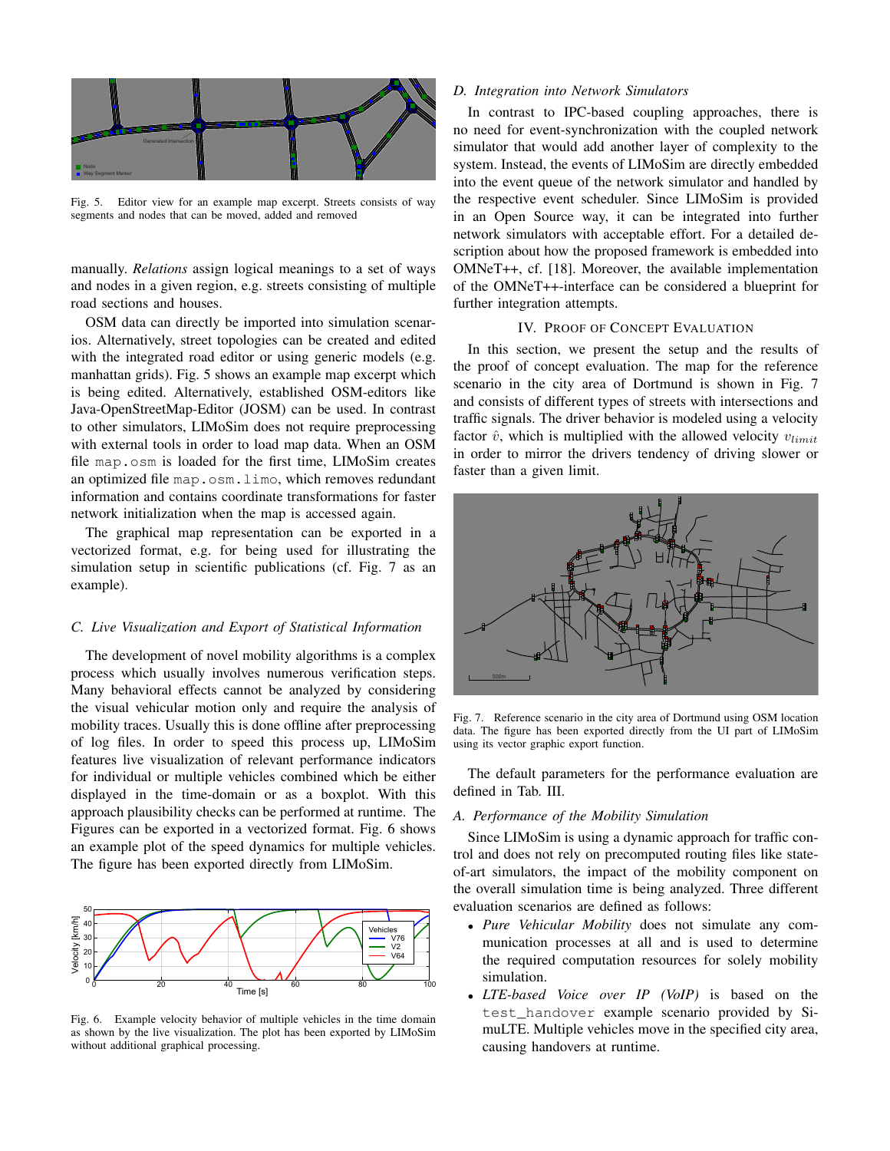

Fig. 5. Editor view for an example map excerpt. Streets consists of way segments and nodes that can be moved, added and removed

manually. *Relations* assign logical meanings to a set of ways and nodes in a given region, e.g. streets consisting of multiple road sections and houses.

OSM data can directly be imported into simulation scenarios. Alternatively, street topologies can be created and edited with the integrated road editor or using generic models (e.g. manhattan grids). Fig. 5 shows an example map excerpt which is being edited. Alternatively, established OSM-editors like Java-OpenStreetMap-Editor (JOSM) can be used. In contrast to other simulators, LIMoSim does not require preprocessing with external tools in order to load map data. When an OSM file map.osm is loaded for the first time, LIMoSim creates an optimized file map.osm.limo, which removes redundant information and contains coordinate transformations for faster network initialization when the map is accessed again.

The graphical map representation can be exported in a vectorized format, e.g. for being used for illustrating the simulation setup in scientific publications (cf. Fig. 7 as an example).

#### *C. Live Visualization and Export of Statistical Information*

The development of novel mobility algorithms is a complex process which usually involves numerous verification steps. Many behavioral effects cannot be analyzed by considering the visual vehicular motion only and require the analysis of mobility traces. Usually this is done offline after preprocessing of log files. In order to speed this process up, LIMoSim features live visualization of relevant performance indicators for individual or multiple vehicles combined which be either displayed in the time-domain or as a boxplot. With this approach plausibility checks can be performed at runtime. The Figures can be exported in a vectorized format. Fig. 6 shows an example plot of the speed dynamics for multiple vehicles. The figure has been exported directly from LIMoSim.



Fig. 6. Example velocity behavior of multiple vehicles in the time domain as shown by the live visualization. The plot has been exported by LIMoSim without additional graphical processing.

## *D. Integration into Network Simulators*

In contrast to IPC-based coupling approaches, there is no need for event-synchronization with the coupled network simulator that would add another layer of complexity to the system. Instead, the events of LIMoSim are directly embedded into the event queue of the network simulator and handled by the respective event scheduler. Since LIMoSim is provided in an Open Source way, it can be integrated into further network simulators with acceptable effort. For a detailed description about how the proposed framework is embedded into OMNeT++, cf. [18]. Moreover, the available implementation of the OMNeT++-interface can be considered a blueprint for further integration attempts.

## IV. PROOF OF CONCEPT EVALUATION

In this section, we present the setup and the results of the proof of concept evaluation. The map for the reference scenario in the city area of Dortmund is shown in Fig. 7 and consists of different types of streets with intersections and traffic signals. The driver behavior is modeled using a velocity factor  $\hat{v}$ , which is multiplied with the allowed velocity  $v_{limit}$ in order to mirror the drivers tendency of driving slower or faster than a given limit.



Fig. 7. Reference scenario in the city area of Dortmund using OSM location data. The figure has been exported directly from the UI part of LIMoSim using its vector graphic export function.

The default parameters for the performance evaluation are defined in Tab. III.

#### *A. Performance of the Mobility Simulation*

Since LIMoSim is using a dynamic approach for traffic control and does not rely on precomputed routing files like stateof-art simulators, the impact of the mobility component on the overall simulation time is being analyzed. Three different evaluation scenarios are defined as follows:

- *Pure Vehicular Mobility* does not simulate any communication processes at all and is used to determine the required computation resources for solely mobility simulation.
- *LTE-based Voice over IP (VoIP)* is based on the test handover example scenario provided by SimuLTE. Multiple vehicles move in the specified city area, causing handovers at runtime.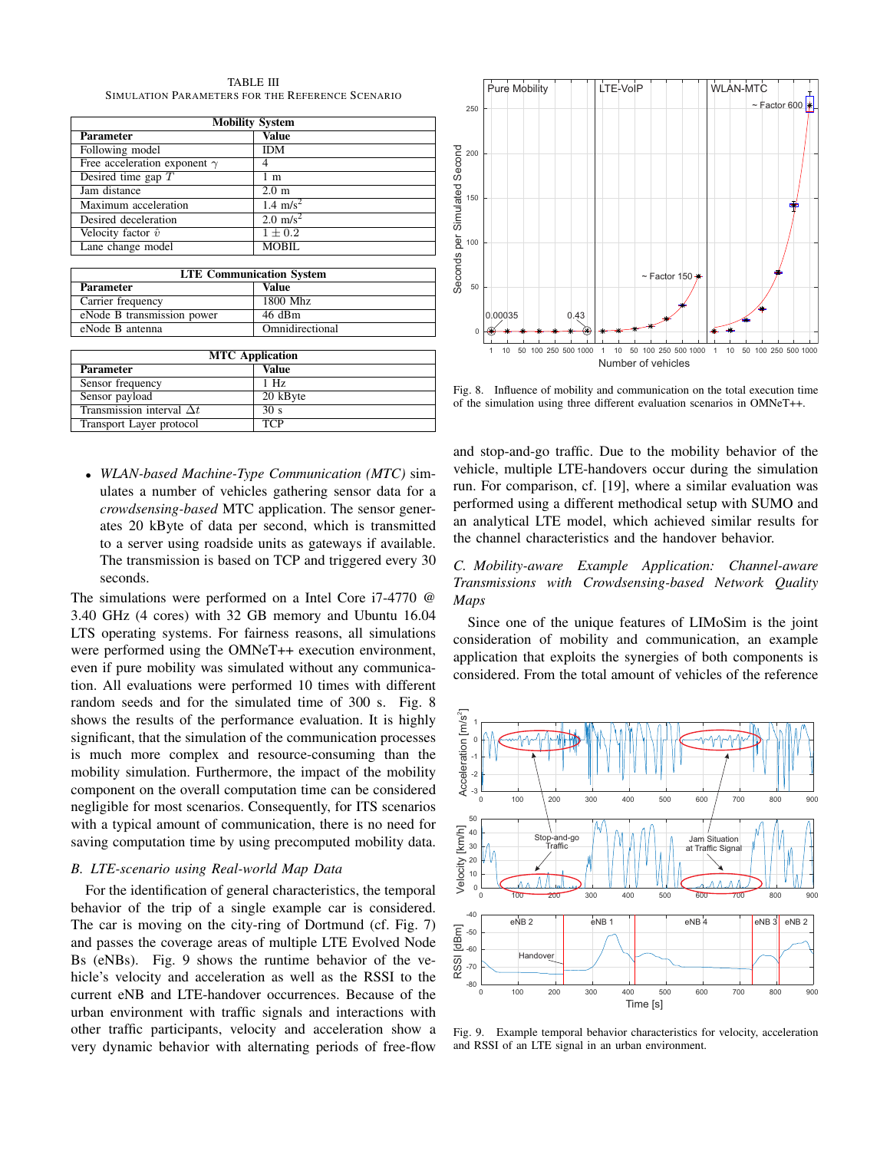TABLE III SIMULATION PARAMETERS FOR THE REFERENCE SCENARIO

| <b>Mobility System</b>              |                     |  |
|-------------------------------------|---------------------|--|
| <b>Parameter</b>                    | Value               |  |
| Following model                     | IDM                 |  |
| Free acceleration exponent $\gamma$ |                     |  |
| Desired time gap $T$                | 1 m                 |  |
| Jam distance                        | $2.0 \text{ m}$     |  |
| Maximum acceleration                | 1.4 $\text{m/s}^2$  |  |
| Desired deceleration                | $2.0 \text{ m/s}^2$ |  |
| Velocity factor $\hat{v}$           | $1 + 0.2$           |  |
| Lane change model                   | MOBIL               |  |

| <b>LTE Communication System</b> |                 |  |  |
|---------------------------------|-----------------|--|--|
| <b>Parameter</b>                | Value           |  |  |
| Carrier frequency               | 1800 Mhz        |  |  |
| eNode B transmission power      | 46 dBm          |  |  |
| eNode B antenna                 | Omnidirectional |  |  |

| <b>MTC</b> Application           |                 |  |
|----------------------------------|-----------------|--|
| <b>Parameter</b>                 | Value           |  |
| Sensor frequency                 | $1$ Hz          |  |
| Sensor payload                   | 20 kByte        |  |
| Transmission interval $\Delta t$ | 30 <sub>s</sub> |  |
| Transport Layer protocol         | <b>TCP</b>      |  |

• *WLAN-based Machine-Type Communication (MTC)* simulates a number of vehicles gathering sensor data for a *crowdsensing-based* MTC application. The sensor generates 20 kByte of data per second, which is transmitted to a server using roadside units as gateways if available. The transmission is based on TCP and triggered every 30 seconds.

The simulations were performed on a Intel Core i7-4770 @ 3.40 GHz (4 cores) with 32 GB memory and Ubuntu 16.04 LTS operating systems. For fairness reasons, all simulations were performed using the OMNeT++ execution environment, even if pure mobility was simulated without any communication. All evaluations were performed 10 times with different random seeds and for the simulated time of 300 s. Fig. 8 shows the results of the performance evaluation. It is highly significant, that the simulation of the communication processes is much more complex and resource-consuming than the mobility simulation. Furthermore, the impact of the mobility component on the overall computation time can be considered negligible for most scenarios. Consequently, for ITS scenarios with a typical amount of communication, there is no need for saving computation time by using precomputed mobility data.

#### *B. LTE-scenario using Real-world Map Data*

For the identification of general characteristics, the temporal behavior of the trip of a single example car is considered. The car is moving on the city-ring of Dortmund (cf. Fig. 7) and passes the coverage areas of multiple LTE Evolved Node Bs (eNBs). Fig. 9 shows the runtime behavior of the vehicle's velocity and acceleration as well as the RSSI to the current eNB and LTE-handover occurrences. Because of the urban environment with traffic signals and interactions with other traffic participants, velocity and acceleration show a very dynamic behavior with alternating periods of free-flow



Fig. 8. Influence of mobility and communication on the total execution time of the simulation using three different evaluation scenarios in OMNeT++.

and stop-and-go traffic. Due to the mobility behavior of the vehicle, multiple LTE-handovers occur during the simulation run. For comparison, cf. [19], where a similar evaluation was performed using a different methodical setup with SUMO and an analytical LTE model, which achieved similar results for the channel characteristics and the handover behavior.

*C. Mobility-aware Example Application: Channel-aware Transmissions with Crowdsensing-based Network Quality Maps*

Since one of the unique features of LIMoSim is the joint consideration of mobility and communication, an example application that exploits the synergies of both components is considered. From the total amount of vehicles of the reference



Fig. 9. Example temporal behavior characteristics for velocity, acceleration and RSSI of an LTE signal in an urban environment.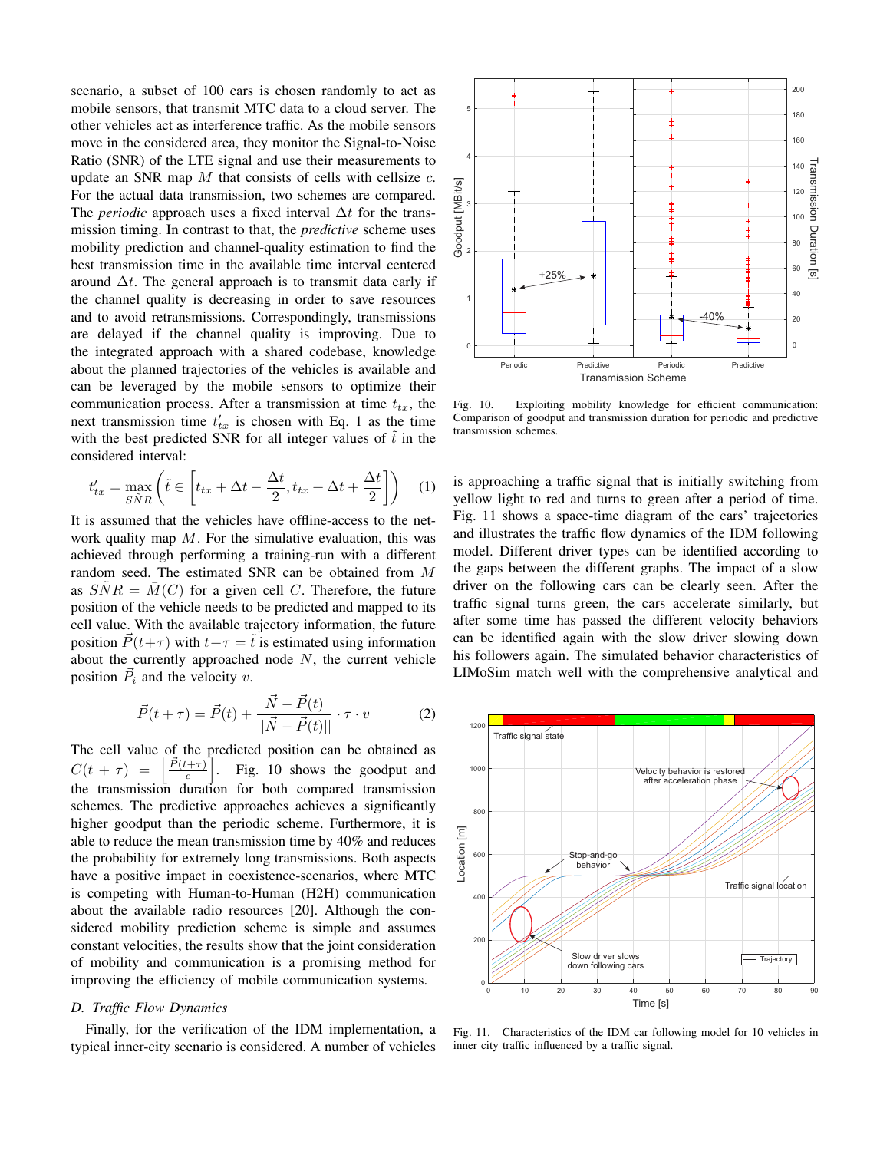scenario, a subset of 100 cars is chosen randomly to act as mobile sensors, that transmit MTC data to a cloud server. The other vehicles act as interference traffic. As the mobile sensors move in the considered area, they monitor the Signal-to-Noise Ratio (SNR) of the LTE signal and use their measurements to update an SNR map  $M$  that consists of cells with cellsize  $c$ . For the actual data transmission, two schemes are compared. The *periodic* approach uses a fixed interval  $\Delta t$  for the transmission timing. In contrast to that, the *predictive* scheme uses mobility prediction and channel-quality estimation to find the best transmission time in the available time interval centered around  $\Delta t$ . The general approach is to transmit data early if the channel quality is decreasing in order to save resources and to avoid retransmissions. Correspondingly, transmissions are delayed if the channel quality is improving. Due to the integrated approach with a shared codebase, knowledge about the planned trajectories of the vehicles is available and can be leveraged by the mobile sensors to optimize their communication process. After a transmission at time  $t_{tx}$ , the next transmission time  $t'_{tx}$  is chosen with Eq. 1 as the time with the best predicted SNR for all integer values of  $\tilde{t}$  in the considered interval:

$$
t'_{tx} = \max_{S\bar{N}R} \left( \tilde{t} \in \left[ t_{tx} + \Delta t - \frac{\Delta t}{2}, t_{tx} + \Delta t + \frac{\Delta t}{2} \right] \right) \tag{1}
$$

It is assumed that the vehicles have offline-access to the network quality map  $M$ . For the simulative evaluation, this was achieved through performing a training-run with a different random seed. The estimated SNR can be obtained from M as  $SNR = M(C)$  for a given cell C. Therefore, the future position of the vehicle needs to be predicted and mapped to its cell value. With the available trajectory information, the future position  $\vec{P}(t+\tau)$  with  $t+\tau = \tilde{t}$  is estimated using information about the currently approached node  $N$ , the current vehicle position  $\vec{P}_i$  and the velocity v.

$$
\vec{P}(t+\tau) = \vec{P}(t) + \frac{\vec{N} - \vec{P}(t)}{||\vec{N} - \vec{P}(t)||} \cdot \tau \cdot v \tag{2}
$$

The cell value of the predicted position can be obtained as  $C(t + \tau) =$  $\vec{P}(t+\tau)$ c `I . Fig. 10 shows the goodput and the transmission duration for both compared transmission schemes. The predictive approaches achieves a significantly higher goodput than the periodic scheme. Furthermore, it is able to reduce the mean transmission time by 40% and reduces the probability for extremely long transmissions. Both aspects have a positive impact in coexistence-scenarios, where MTC is competing with Human-to-Human (H2H) communication about the available radio resources [20]. Although the considered mobility prediction scheme is simple and assumes constant velocities, the results show that the joint consideration of mobility and communication is a promising method for improving the efficiency of mobile communication systems.

#### *D. Traffic Flow Dynamics*

Finally, for the verification of the IDM implementation, a typical inner-city scenario is considered. A number of vehicles



Fig. 10. Exploiting mobility knowledge for efficient communication: Comparison of goodput and transmission duration for periodic and predictive transmission schemes.

is approaching a traffic signal that is initially switching from yellow light to red and turns to green after a period of time. Fig. 11 shows a space-time diagram of the cars' trajectories and illustrates the traffic flow dynamics of the IDM following model. Different driver types can be identified according to the gaps between the different graphs. The impact of a slow driver on the following cars can be clearly seen. After the traffic signal turns green, the cars accelerate similarly, but after some time has passed the different velocity behaviors can be identified again with the slow driver slowing down his followers again. The simulated behavior characteristics of LIMoSim match well with the comprehensive analytical and



Fig. 11. Characteristics of the IDM car following model for 10 vehicles in inner city traffic influenced by a traffic signal.